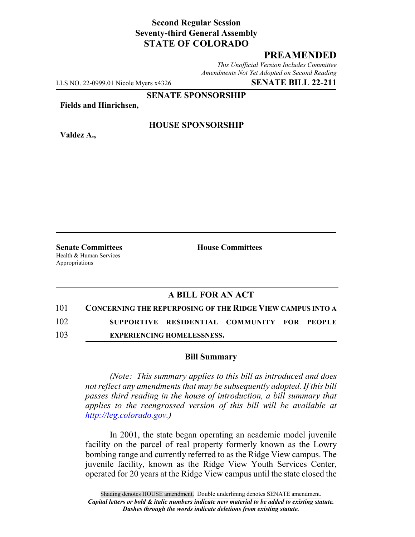## **Second Regular Session Seventy-third General Assembly STATE OF COLORADO**

## **PREAMENDED**

*This Unofficial Version Includes Committee Amendments Not Yet Adopted on Second Reading*

LLS NO. 22-0999.01 Nicole Myers x4326 **SENATE BILL 22-211**

**SENATE SPONSORSHIP**

**Fields and Hinrichsen,**

**Valdez A.,**

#### **HOUSE SPONSORSHIP**

**Senate Committees House Committees** Health & Human Services Appropriations

## **A BILL FOR AN ACT**

# 101 **CONCERNING THE REPURPOSING OF THE RIDGE VIEW CAMPUS INTO A**

102 **SUPPORTIVE RESIDENTIAL COMMUNITY FOR PEOPLE**

103 **EXPERIENCING HOMELESSNESS.**

#### **Bill Summary**

*(Note: This summary applies to this bill as introduced and does not reflect any amendments that may be subsequently adopted. If this bill passes third reading in the house of introduction, a bill summary that applies to the reengrossed version of this bill will be available at http://leg.colorado.gov.)*

In 2001, the state began operating an academic model juvenile facility on the parcel of real property formerly known as the Lowry bombing range and currently referred to as the Ridge View campus. The juvenile facility, known as the Ridge View Youth Services Center, operated for 20 years at the Ridge View campus until the state closed the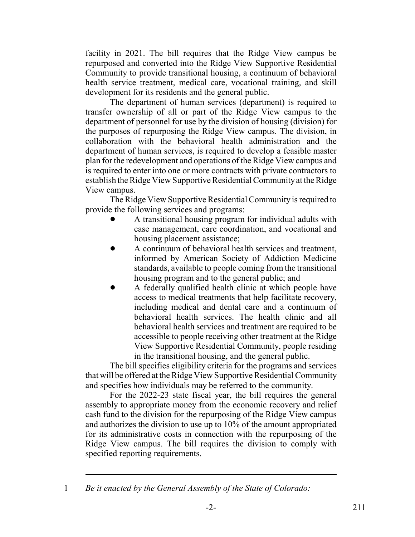facility in 2021. The bill requires that the Ridge View campus be repurposed and converted into the Ridge View Supportive Residential Community to provide transitional housing, a continuum of behavioral health service treatment, medical care, vocational training, and skill development for its residents and the general public.

The department of human services (department) is required to transfer ownership of all or part of the Ridge View campus to the department of personnel for use by the division of housing (division) for the purposes of repurposing the Ridge View campus. The division, in collaboration with the behavioral health administration and the department of human services, is required to develop a feasible master plan for the redevelopment and operations of the Ridge View campus and is required to enter into one or more contracts with private contractors to establish the Ridge View Supportive Residential Community at the Ridge View campus.

The Ridge View Supportive Residential Community is required to provide the following services and programs:

- ! A transitional housing program for individual adults with case management, care coordination, and vocational and housing placement assistance;
- ! A continuum of behavioral health services and treatment, informed by American Society of Addiction Medicine standards, available to people coming from the transitional housing program and to the general public; and
- ! A federally qualified health clinic at which people have access to medical treatments that help facilitate recovery, including medical and dental care and a continuum of behavioral health services. The health clinic and all behavioral health services and treatment are required to be accessible to people receiving other treatment at the Ridge View Supportive Residential Community, people residing in the transitional housing, and the general public.

The bill specifies eligibility criteria for the programs and services that will be offered at the Ridge View Supportive Residential Community and specifies how individuals may be referred to the community.

For the 2022-23 state fiscal year, the bill requires the general assembly to appropriate money from the economic recovery and relief cash fund to the division for the repurposing of the Ridge View campus and authorizes the division to use up to 10% of the amount appropriated for its administrative costs in connection with the repurposing of the Ridge View campus. The bill requires the division to comply with specified reporting requirements.

<sup>1</sup> *Be it enacted by the General Assembly of the State of Colorado:*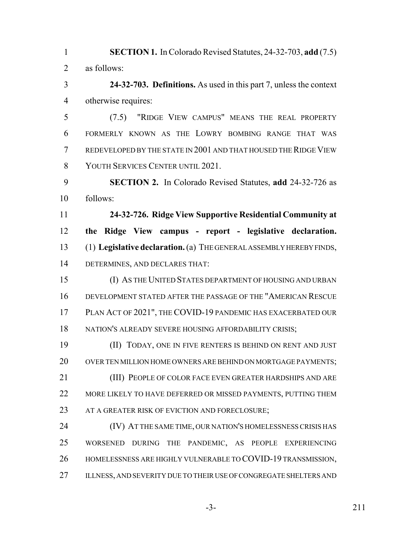**SECTION 1.** In Colorado Revised Statutes, 24-32-703, **add** (7.5) as follows:

 **24-32-703. Definitions.** As used in this part 7, unless the context otherwise requires:

 (7.5) "RIDGE VIEW CAMPUS" MEANS THE REAL PROPERTY FORMERLY KNOWN AS THE LOWRY BOMBING RANGE THAT WAS REDEVELOPED BY THE STATE IN 2001 AND THAT HOUSED THE RIDGE VIEW YOUTH SERVICES CENTER UNTIL 2021.

 **SECTION 2.** In Colorado Revised Statutes, **add** 24-32-726 as follows:

 **24-32-726. Ridge View Supportive Residential Community at the Ridge View campus - report - legislative declaration.** (1) **Legislative declaration.** (a) THE GENERAL ASSEMBLY HEREBY FINDS, DETERMINES, AND DECLARES THAT:

 (I) AS THE UNITED STATES DEPARTMENT OF HOUSING AND URBAN DEVELOPMENT STATED AFTER THE PASSAGE OF THE "AMERICAN RESCUE PLAN ACT OF 2021", THE COVID-19 PANDEMIC HAS EXACERBATED OUR 18 NATION'S ALREADY SEVERE HOUSING AFFORDABILITY CRISIS;

 (II) TODAY, ONE IN FIVE RENTERS IS BEHIND ON RENT AND JUST 20 OVER TEN MILLION HOME OWNERS ARE BEHIND ON MORTGAGE PAYMENTS; (III) PEOPLE OF COLOR FACE EVEN GREATER HARDSHIPS AND ARE 22 MORE LIKELY TO HAVE DEFERRED OR MISSED PAYMENTS, PUTTING THEM 23 AT A GREATER RISK OF EVICTION AND FORECLOSURE;

 (IV) AT THE SAME TIME, OUR NATION'S HOMELESSNESS CRISIS HAS WORSENED DURING THE PANDEMIC, AS PEOPLE EXPERIENCING HOMELESSNESS ARE HIGHLY VULNERABLE TO COVID-19 TRANSMISSION, 27 ILLNESS, AND SEVERITY DUE TO THEIR USE OF CONGREGATE SHELTERS AND

-3- 211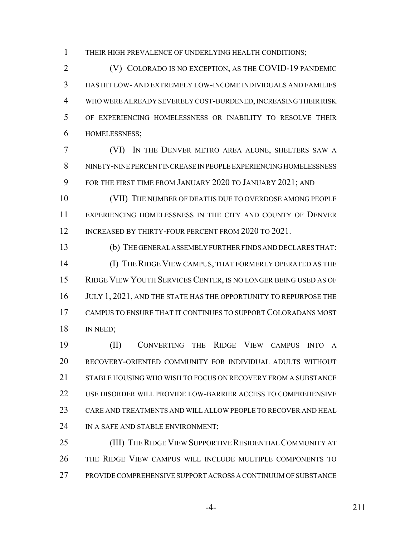THEIR HIGH PREVALENCE OF UNDERLYING HEALTH CONDITIONS;

 (V) COLORADO IS NO EXCEPTION, AS THE COVID-19 PANDEMIC HAS HIT LOW- AND EXTREMELY LOW-INCOME INDIVIDUALS AND FAMILIES WHO WERE ALREADY SEVERELY COST-BURDENED, INCREASING THEIR RISK OF EXPERIENCING HOMELESSNESS OR INABILITY TO RESOLVE THEIR HOMELESSNESS;

 (VI) IN THE DENVER METRO AREA ALONE, SHELTERS SAW A NINETY-NINE PERCENT INCREASE IN PEOPLE EXPERIENCING HOMELESSNESS FOR THE FIRST TIME FROM JANUARY 2020 TO JANUARY 2021; AND

 (VII) THE NUMBER OF DEATHS DUE TO OVERDOSE AMONG PEOPLE EXPERIENCING HOMELESSNESS IN THE CITY AND COUNTY OF DENVER 12 INCREASED BY THIRTY-FOUR PERCENT FROM 2020 TO 2021.

 (b) THE GENERAL ASSEMBLY FURTHER FINDS AND DECLARES THAT: (I) THE RIDGE VIEW CAMPUS, THAT FORMERLY OPERATED AS THE RIDGE VIEW YOUTH SERVICES CENTER, IS NO LONGER BEING USED AS OF 16 JULY 1, 2021, AND THE STATE HAS THE OPPORTUNITY TO REPURPOSE THE CAMPUS TO ENSURE THAT IT CONTINUES TO SUPPORT COLORADANS MOST 18 IN NEED;

 (II) CONVERTING THE RIDGE VIEW CAMPUS INTO A RECOVERY-ORIENTED COMMUNITY FOR INDIVIDUAL ADULTS WITHOUT 21 STABLE HOUSING WHO WISH TO FOCUS ON RECOVERY FROM A SUBSTANCE 22 USE DISORDER WILL PROVIDE LOW-BARRIER ACCESS TO COMPREHENSIVE CARE AND TREATMENTS AND WILL ALLOW PEOPLE TO RECOVER AND HEAL 24 IN A SAFE AND STABLE ENVIRONMENT;

25 (III) THE RIDGE VIEW SUPPORTIVE RESIDENTIAL COMMUNITY AT THE RIDGE VIEW CAMPUS WILL INCLUDE MULTIPLE COMPONENTS TO PROVIDE COMPREHENSIVE SUPPORT ACROSS A CONTINUUM OF SUBSTANCE

-4- 211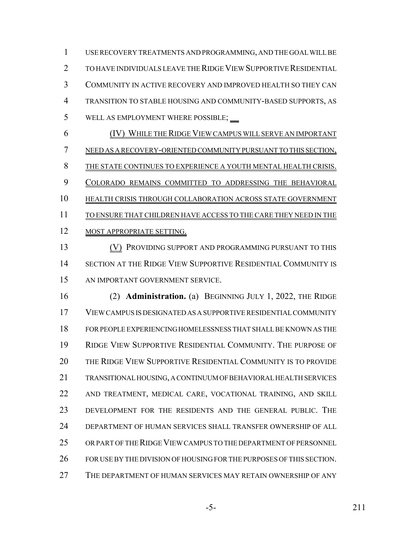USE RECOVERY TREATMENTS AND PROGRAMMING, AND THE GOAL WILL BE TO HAVE INDIVIDUALS LEAVE THE RIDGE VIEW SUPPORTIVE RESIDENTIAL COMMUNITY IN ACTIVE RECOVERY AND IMPROVED HEALTH SO THEY CAN TRANSITION TO STABLE HOUSING AND COMMUNITY-BASED SUPPORTS, AS 5 WELL AS EMPLOYMENT WHERE POSSIBLE; (IV) WHILE THE RIDGE VIEW CAMPUS WILL SERVE AN IMPORTANT NEED AS A RECOVERY-ORIENTED COMMUNITY PURSUANT TO THIS SECTION,

THE STATE CONTINUES TO EXPERIENCE A YOUTH MENTAL HEALTH CRISIS.

COLORADO REMAINS COMMITTED TO ADDRESSING THE BEHAVIORAL

HEALTH CRISIS THROUGH COLLABORATION ACROSS STATE GOVERNMENT

11 TO ENSURE THAT CHILDREN HAVE ACCESS TO THE CARE THEY NEED IN THE

12 MOST APPROPRIATE SETTING.

**(V) PROVIDING SUPPORT AND PROGRAMMING PURSUANT TO THIS**  SECTION AT THE RIDGE VIEW SUPPORTIVE RESIDENTIAL COMMUNITY IS AN IMPORTANT GOVERNMENT SERVICE.

 (2) **Administration.** (a) BEGINNING JULY 1, 2022, THE RIDGE VIEW CAMPUS IS DESIGNATED AS A SUPPORTIVE RESIDENTIAL COMMUNITY FOR PEOPLE EXPERIENCING HOMELESSNESS THAT SHALL BE KNOWN AS THE RIDGE VIEW SUPPORTIVE RESIDENTIAL COMMUNITY. THE PURPOSE OF THE RIDGE VIEW SUPPORTIVE RESIDENTIAL COMMUNITY IS TO PROVIDE TRANSITIONAL HOUSING, A CONTINUUM OF BEHAVIORAL HEALTH SERVICES AND TREATMENT, MEDICAL CARE, VOCATIONAL TRAINING, AND SKILL DEVELOPMENT FOR THE RESIDENTS AND THE GENERAL PUBLIC. THE DEPARTMENT OF HUMAN SERVICES SHALL TRANSFER OWNERSHIP OF ALL OR PART OF THE RIDGE VIEW CAMPUS TO THE DEPARTMENT OF PERSONNEL FOR USE BY THE DIVISION OF HOUSING FOR THE PURPOSES OF THIS SECTION. THE DEPARTMENT OF HUMAN SERVICES MAY RETAIN OWNERSHIP OF ANY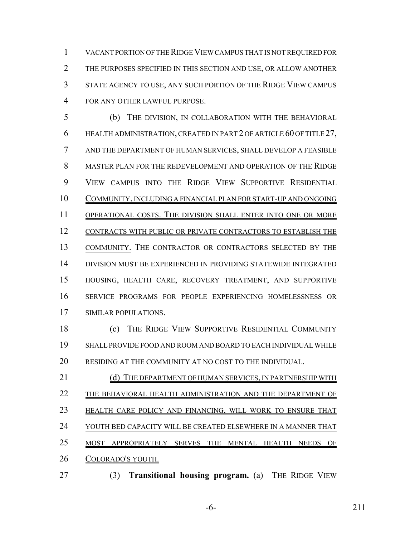VACANT PORTION OF THE RIDGE VIEW CAMPUS THAT IS NOT REQUIRED FOR THE PURPOSES SPECIFIED IN THIS SECTION AND USE, OR ALLOW ANOTHER STATE AGENCY TO USE, ANY SUCH PORTION OF THE RIDGE VIEW CAMPUS FOR ANY OTHER LAWFUL PURPOSE.

 (b) THE DIVISION, IN COLLABORATION WITH THE BEHAVIORAL HEALTH ADMINISTRATION, CREATED IN PART 2 OF ARTICLE 60 OF TITLE 27, AND THE DEPARTMENT OF HUMAN SERVICES, SHALL DEVELOP A FEASIBLE MASTER PLAN FOR THE REDEVELOPMENT AND OPERATION OF THE RIDGE VIEW CAMPUS INTO THE RIDGE VIEW SUPPORTIVE RESIDENTIAL COMMUNITY, INCLUDING A FINANCIAL PLAN FOR START-UP AND ONGOING 11 OPERATIONAL COSTS. THE DIVISION SHALL ENTER INTO ONE OR MORE CONTRACTS WITH PUBLIC OR PRIVATE CONTRACTORS TO ESTABLISH THE COMMUNITY. THE CONTRACTOR OR CONTRACTORS SELECTED BY THE DIVISION MUST BE EXPERIENCED IN PROVIDING STATEWIDE INTEGRATED HOUSING, HEALTH CARE, RECOVERY TREATMENT, AND SUPPORTIVE SERVICE PROGRAMS FOR PEOPLE EXPERIENCING HOMELESSNESS OR SIMILAR POPULATIONS.

 (c) THE RIDGE VIEW SUPPORTIVE RESIDENTIAL COMMUNITY SHALL PROVIDE FOOD AND ROOM AND BOARD TO EACH INDIVIDUAL WHILE RESIDING AT THE COMMUNITY AT NO COST TO THE INDIVIDUAL.

- 21 (d) THE DEPARTMENT OF HUMAN SERVICES, IN PARTNERSHIP WITH 22 THE BEHAVIORAL HEALTH ADMINISTRATION AND THE DEPARTMENT OF 23 HEALTH CARE POLICY AND FINANCING, WILL WORK TO ENSURE THAT YOUTH BED CAPACITY WILL BE CREATED ELSEWHERE IN A MANNER THAT MOST APPROPRIATELY SERVES THE MENTAL HEALTH NEEDS OF COLORADO'S YOUTH.
- (3) **Transitional housing program.** (a) THE RIDGE VIEW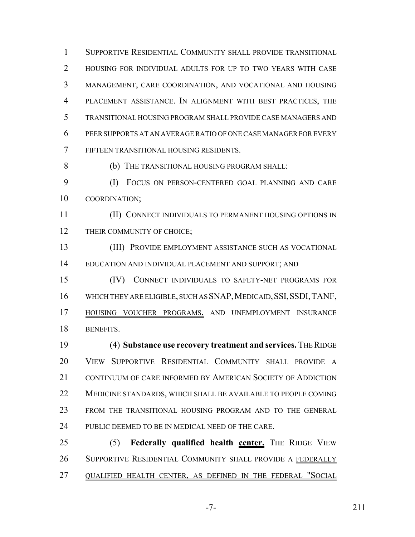SUPPORTIVE RESIDENTIAL COMMUNITY SHALL PROVIDE TRANSITIONAL HOUSING FOR INDIVIDUAL ADULTS FOR UP TO TWO YEARS WITH CASE MANAGEMENT, CARE COORDINATION, AND VOCATIONAL AND HOUSING PLACEMENT ASSISTANCE. IN ALIGNMENT WITH BEST PRACTICES, THE TRANSITIONAL HOUSING PROGRAM SHALL PROVIDE CASE MANAGERS AND PEER SUPPORTS AT AN AVERAGE RATIO OF ONE CASE MANAGER FOR EVERY FIFTEEN TRANSITIONAL HOUSING RESIDENTS.

(b) THE TRANSITIONAL HOUSING PROGRAM SHALL:

 (I) FOCUS ON PERSON-CENTERED GOAL PLANNING AND CARE COORDINATION;

 (II) CONNECT INDIVIDUALS TO PERMANENT HOUSING OPTIONS IN 12 THEIR COMMUNITY OF CHOICE;

 (III) PROVIDE EMPLOYMENT ASSISTANCE SUCH AS VOCATIONAL EDUCATION AND INDIVIDUAL PLACEMENT AND SUPPORT; AND

 (IV) CONNECT INDIVIDUALS TO SAFETY-NET PROGRAMS FOR 16 WHICH THEY ARE ELIGIBLE, SUCH AS SNAP, MEDICAID, SSI, SSDI, TANF, HOUSING VOUCHER PROGRAMS, AND UNEMPLOYMENT INSURANCE BENEFITS.

 (4) **Substance use recovery treatment and services.** THE RIDGE VIEW SUPPORTIVE RESIDENTIAL COMMUNITY SHALL PROVIDE A 21 CONTINUUM OF CARE INFORMED BY AMERICAN SOCIETY OF ADDICTION MEDICINE STANDARDS, WHICH SHALL BE AVAILABLE TO PEOPLE COMING FROM THE TRANSITIONAL HOUSING PROGRAM AND TO THE GENERAL 24 PUBLIC DEEMED TO BE IN MEDICAL NEED OF THE CARE.

 (5) **Federally qualified health center.** THE RIDGE VIEW SUPPORTIVE RESIDENTIAL COMMUNITY SHALL PROVIDE A FEDERALLY QUALIFIED HEALTH CENTER, AS DEFINED IN THE FEDERAL "SOCIAL

-7- 211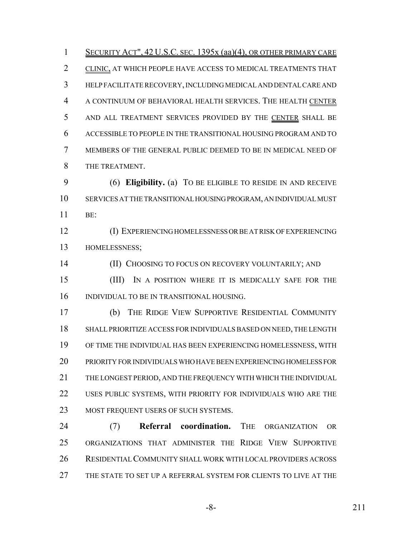1 SECURITY ACT", 42 U.S.C. SEC. 1395x (aa)(4), OR OTHER PRIMARY CARE CLINIC, AT WHICH PEOPLE HAVE ACCESS TO MEDICAL TREATMENTS THAT HELP FACILITATE RECOVERY, INCLUDING MEDICAL AND DENTAL CARE AND A CONTINUUM OF BEHAVIORAL HEALTH SERVICES. THE HEALTH CENTER AND ALL TREATMENT SERVICES PROVIDED BY THE CENTER SHALL BE ACCESSIBLE TO PEOPLE IN THE TRANSITIONAL HOUSING PROGRAM AND TO MEMBERS OF THE GENERAL PUBLIC DEEMED TO BE IN MEDICAL NEED OF THE TREATMENT.

 (6) **Eligibility.** (a) TO BE ELIGIBLE TO RESIDE IN AND RECEIVE SERVICES AT THE TRANSITIONAL HOUSING PROGRAM, AN INDIVIDUAL MUST BE:

 (I) EXPERIENCING HOMELESSNESS OR BE AT RISK OF EXPERIENCING HOMELESSNESS;

**(II) CHOOSING TO FOCUS ON RECOVERY VOLUNTARILY; AND** 

 (III) IN A POSITION WHERE IT IS MEDICALLY SAFE FOR THE INDIVIDUAL TO BE IN TRANSITIONAL HOUSING.

 (b) THE RIDGE VIEW SUPPORTIVE RESIDENTIAL COMMUNITY SHALL PRIORITIZE ACCESS FOR INDIVIDUALS BASED ON NEED, THE LENGTH OF TIME THE INDIVIDUAL HAS BEEN EXPERIENCING HOMELESSNESS, WITH PRIORITY FOR INDIVIDUALS WHO HAVE BEEN EXPERIENCING HOMELESS FOR THE LONGEST PERIOD, AND THE FREQUENCY WITH WHICH THE INDIVIDUAL USES PUBLIC SYSTEMS, WITH PRIORITY FOR INDIVIDUALS WHO ARE THE 23 MOST FREQUENT USERS OF SUCH SYSTEMS.

 (7) **Referral coordination.** THE ORGANIZATION OR ORGANIZATIONS THAT ADMINISTER THE RIDGE VIEW SUPPORTIVE RESIDENTIAL COMMUNITY SHALL WORK WITH LOCAL PROVIDERS ACROSS THE STATE TO SET UP A REFERRAL SYSTEM FOR CLIENTS TO LIVE AT THE

-8- 211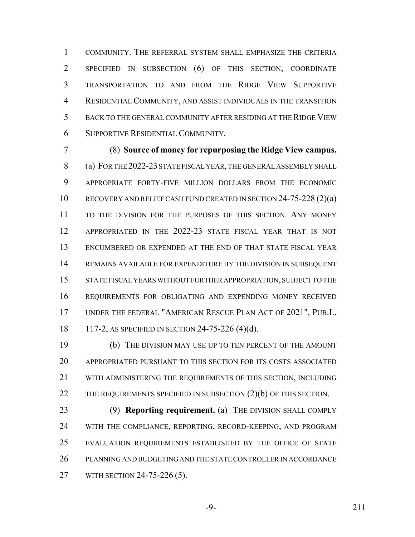COMMUNITY. THE REFERRAL SYSTEM SHALL EMPHASIZE THE CRITERIA SPECIFIED IN SUBSECTION (6) OF THIS SECTION, COORDINATE TRANSPORTATION TO AND FROM THE RIDGE VIEW SUPPORTIVE RESIDENTIAL COMMUNITY, AND ASSIST INDIVIDUALS IN THE TRANSITION BACK TO THE GENERAL COMMUNITY AFTER RESIDING AT THE RIDGE VIEW SUPPORTIVE RESIDENTIAL COMMUNITY.

 (8) **Source of money for repurposing the Ridge View campus.** (a) FOR THE 2022-23 STATE FISCAL YEAR, THE GENERAL ASSEMBLY SHALL APPROPRIATE FORTY-FIVE MILLION DOLLARS FROM THE ECONOMIC RECOVERY AND RELIEF CASH FUND CREATED IN SECTION 24-75-228 (2)(a) TO THE DIVISION FOR THE PURPOSES OF THIS SECTION. ANY MONEY APPROPRIATED IN THE 2022-23 STATE FISCAL YEAR THAT IS NOT ENCUMBERED OR EXPENDED AT THE END OF THAT STATE FISCAL YEAR REMAINS AVAILABLE FOR EXPENDITURE BY THE DIVISION IN SUBSEQUENT STATE FISCAL YEARS WITHOUT FURTHER APPROPRIATION, SUBJECT TO THE REQUIREMENTS FOR OBLIGATING AND EXPENDING MONEY RECEIVED UNDER THE FEDERAL "AMERICAN RESCUE PLAN ACT OF 2021", PUB.L. 117-2, AS SPECIFIED IN SECTION 24-75-226 (4)(d).

 (b) THE DIVISION MAY USE UP TO TEN PERCENT OF THE AMOUNT APPROPRIATED PURSUANT TO THIS SECTION FOR ITS COSTS ASSOCIATED WITH ADMINISTERING THE REQUIREMENTS OF THIS SECTION, INCLUDING 22 THE REQUIREMENTS SPECIFIED IN SUBSECTION (2)(b) OF THIS SECTION.

 (9) **Reporting requirement.** (a) THE DIVISION SHALL COMPLY WITH THE COMPLIANCE, REPORTING, RECORD-KEEPING, AND PROGRAM EVALUATION REQUIREMENTS ESTABLISHED BY THE OFFICE OF STATE PLANNING AND BUDGETING AND THE STATE CONTROLLER IN ACCORDANCE WITH SECTION 24-75-226 (5).

-9- 211